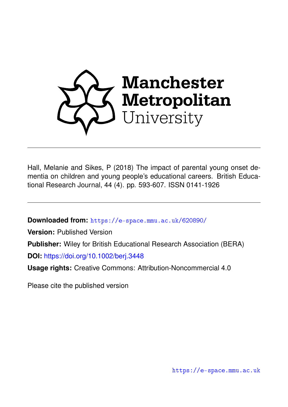

Hall, Melanie and Sikes, P (2018) The impact of parental young onset dementia on children and young people's educational careers. British Educational Research Journal, 44 (4). pp. 593-607. ISSN 0141-1926

**Downloaded from:** <https://e-space.mmu.ac.uk/620890/>

**Version:** Published Version

**Publisher:** Wiley for British Educational Research Association (BERA)

**DOI:** <https://doi.org/10.1002/berj.3448>

**Usage rights:** Creative Commons: Attribution-Noncommercial 4.0

Please cite the published version

<https://e-space.mmu.ac.uk>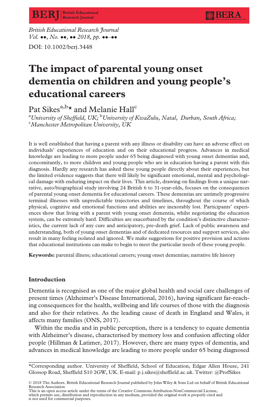British Educational Research Journal Vol.  $\bullet\bullet$ , No.  $\bullet\bullet$ ,  $\bullet\bullet$  2018, pp.  $\bullet\bullet-\bullet\bullet$ 

DOI: 10.1002/berj.3448

# The impact of parental young onset dementia on children and young people's educational careers

# Pat Sikes<sup>a,b\*</sup> and Melanie Hall<sup>c</sup>

<sup>a</sup>University of Sheffield, UK; <sup>b</sup>University of KwaZulu, Natal, Durban, South Africa;<br><sup>c</sup>Manchester Metropolitan University, UK Manchester Metropolitan University, UK

It is well established that having a parent with any illness or disability can have an adverse effect on individuals' experiences of education and on their educational progress. Advances in medical knowledge are leading to more people under 65 being diagnosed with young onset dementias and, concomitantly, to more children and young people who are in education having a parent with this diagnosis. Hardly any research has asked these young people directly about their experiences, but the limited evidence suggests that there will likely be significant emotional, mental and psychological damage with enduring impact on their lives. This article, drawing on findings from a unique narrative, auto/biographical study involving 24 British 6 to 31-year-olds, focuses on the consequences of parental young onset dementia for educational careers. These dementias are untimely progressive terminal illnesses with unpredictable trajectories and timelines, throughout the course of which physical, cognitive and emotional functions and abilities are inexorably lost. Participants' experiences show that living with a parent with young onset dementia, whilst negotiating the education system, can be extremely hard. Difficulties are exacerbated by the condition's distinctive characteristics, the current lack of any cure and anticipatory, pre-death grief. Lack of public awareness and understanding, both of young onset dementias and of dedicated resources and support services, also result in many feeling isolated and ignored. We make suggestions for positive provision and actions that educational institutions can make to begin to meet the particular needs of these young people.

Keywords: parental illness; educational careers; young onset dementias; narrative life history

# Introduction

Dementia is recognised as one of the major global health and social care challenges of present times (Alzheimer's Disease International, 2016), having significant far-reaching consequences for the health, wellbeing and life courses of those with the diagnosis and also for their relatives. As the leading cause of death in England and Wales, it affects many families (ONS, 2017).

Within the media and in public perception, there is a tendency to equate dementia with Alzheimer's disease, characterised by memory loss and confusion affecting older people (Hillman & Latimer, 2017). However, there are many types of dementia, and advances in medical knowledge are leading to more people under 65 being diagnosed

<sup>\*</sup>Corresponding author. University of Sheffield, School of Education, Edgar Allen House, 241 Glossop Road, Sheffield S10 2GW, UK. E-mail: p.j.sikes@sheffield.ac.uk. Twitter: @ProfSikes

<sup>©</sup> 2018 The Authors. British Educational Research Journal published by John Wiley & Sons Ltd on behalf of British Educational Research Association

This is an open access article under the terms of the [Creative Commons Attribution-NonCommercial](http://creativecommons.org/licenses/by-nc/4.0/) License, which permits use, distribution and reproduction in any medium, provided the original work is properly cited and is not used for commercial purposes.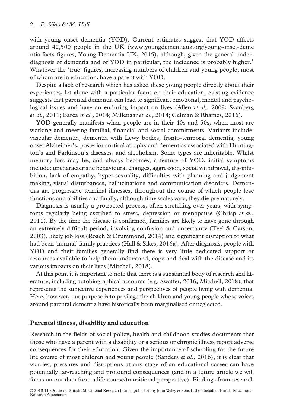with young onset dementia (YOD). Current estimates suggest that YOD affects around 42,500 people in the UK [\(www.youngdementiauk.org/young-onset-deme](http://www.youngdementiauk.org/young-onset-dementia-facts-figures) [ntia-facts-figures](http://www.youngdementiauk.org/young-onset-dementia-facts-figures); Young Dementia UK, 2015), although, given the general underdiagnosis of dementia and of YOD in particular, the incidence is probably higher.<sup>1</sup> Whatever the 'true' figures, increasing numbers of children and young people, most of whom are in education, have a parent with YOD.

Despite a lack of research which has asked these young people directly about their experiences, let alone with a particular focus on their education, existing evidence suggests that parental dementia can lead to significant emotional, mental and psychological issues and have an enduring impact on lives (Allen *et al.*, 2009; Svanberg et al., 2011; Barca et al., 2014; Millenaar et al., 2014; Gelman & Rhames, 2016).

YOD generally manifests when people are in their 40s and 50s, when most are working and meeting familial, financial and social commitments. Variants include: vascular dementia, dementia with Lewy bodies, fronto-temporal dementia, young onset Alzheimer's, posterior cortical atrophy and dementias associated with Huntington's and Parkinson's diseases, and alcoholism. Some types are inheritable. Whilst memory loss may be, and always becomes, a feature of YOD, initial symptoms include: uncharacteristic behavioural changes, aggression, social withdrawal, dis-inhibition, lack of empathy, hyper-sexuality, difficulties with planning and judgement making, visual disturbances, hallucinations and communication disorders. Dementias are progressive terminal illnesses, throughout the course of which people lose functions and abilities and finally, although time scales vary, they die prematurely.

Diagnosis is usually a protracted process, often stretching over years, with symptoms regularly being ascribed to stress, depression or menopause (Chrisp et al., 2011). By the time the disease is confirmed, families are likely to have gone through an extremely difficult period, involving confusion and uncertainty (Teel & Carson, 2003), likely job loss (Roach & Drummond, 2014) and significant disruption to what had been 'normal' family practices (Hall & Sikes, 2016a). After diagnosis, people with YOD and their families generally find there is very little dedicated support or resources available to help them understand, cope and deal with the disease and its various impacts on their lives (Mitchell, 2018).

At this point it is important to note that there is a substantial body of research and literature, including autobiographical accounts (e.g. Swaffer, 2016; Mitchell, 2018), that represents the subjective experiences and perspectives of people living with dementia. Here, however, our purpose is to privilege the children and young people whose voices around parental dementia have historically been marginalised or neglected.

#### Parental illness, disability and education

Research in the fields of social policy, health and childhood studies documents that those who have a parent with a disability or a serious or chronic illness report adverse consequences for their education. Given the importance of schooling for the future life course of most children and young people (Sanders *et al.*, 2016), it is clear that worries, pressures and disruptions at any stage of an educational career can have potentially far-reaching and profound consequences (and in a future article we will focus on our data from a life course/transitional perspective). Findings from research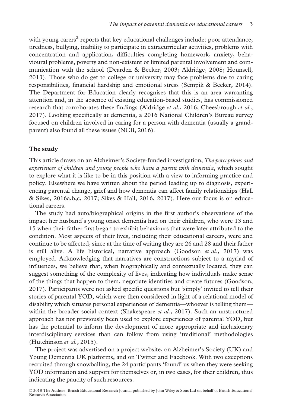with young carers<sup>2</sup> reports that key educational challenges include: poor attendance, tiredness, bullying, inability to participate in extracurricular activities, problems with concentration and application, difficulties completing homework, anxiety, behavioural problems, poverty and non-existent or limited parental involvement and communication with the school (Dearden & Becker, 2003; Aldridge, 2008; Hounsell, 2013). Those who do get to college or university may face problems due to caring responsibilities, financial hardship and emotional stress (Sempik & Becker, 2014). The Department for Education clearly recognises that this is an area warranting attention and, in the absence of existing education-based studies, has commissioned research that corroborates these findings (Aldridge et al., 2016; Cheesbrough et al., 2017). Looking specifically at dementia, a 2016 National Children's Bureau survey focused on children involved in caring for a person with dementia (usually a grandparent) also found all these issues (NCB, 2016).

# The study

This article draws on an Alzheimer's Society-funded investigation, The perceptions and experiences of children and young people who have a parent with dementia, which sought to explore what it is like to be in this position with a view to informing practice and policy. Elsewhere we have written about the period leading up to diagnosis, experiencing parental change, grief and how dementia can affect family relationships (Hall & Sikes, 2016a,b,c, 2017; Sikes & Hall, 2016, 2017). Here our focus is on educational careers.

The study had auto/biographical origins in the first author's observations of the impact her husband's young onset dementia had on their children, who were 13 and 15 when their father first began to exhibit behaviours that were later attributed to the condition. Most aspects of their lives, including their educational careers, were and continue to be affected, since at the time of writing they are 26 and 28 and their father is still alive. A life historical, narrative approach (Goodson et al., 2017) was employed. Acknowledging that narratives are constructions subject to a myriad of influences, we believe that, when biographically and contextually located, they can suggest something of the complexity of lives, indicating how individuals make sense of the things that happen to them, negotiate identities and create futures (Goodson, 2017). Participants were not asked specific questions but 'simply' invited to tell their stories of parental YOD, which were then considered in light of a relational model of disability which situates personal experiences of dementia—whoever is telling them within the broader social context (Shakespeare et al., 2017). Such an unstructured approach has not previously been used to explore experiences of parental YOD, but has the potential to inform the development of more appropriate and inclusionary interdisciplinary services than can follow from using 'traditional' methodologies (Hutchinson et al., 2015).

The project was advertised on a project website, on Alzheimer's Society (UK) and Young Dementia UK platforms, and on Twitter and Facebook. With two exceptions recruited through snowballing, the 24 participants 'found' us when they were seeking YOD information and support for themselves or, in two cases, for their children, thus indicating the paucity of such resources.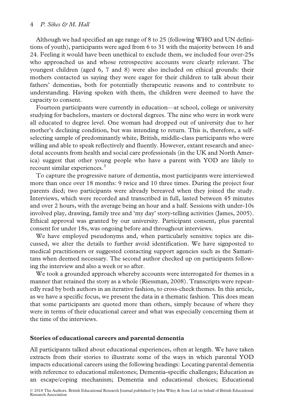Although we had specified an age range of 8 to 25 (following WHO and UN definitions of youth), participants were aged from 6 to 31 with the majority between 16 and 24. Feeling it would have been unethical to exclude them, we included four over-25s who approached us and whose retrospective accounts were clearly relevant. The youngest children (aged 6, 7 and 8) were also included on ethical grounds: their mothers contacted us saying they were eager for their children to talk about their fathers' dementias, both for potentially therapeutic reasons and to contribute to understanding. Having spoken with them, the children were deemed to have the capacity to consent.

Fourteen participants were currently in education—at school, college or university studying for bachelors, masters or doctoral degrees. The nine who were in work were all educated to degree level. One woman had dropped out of university due to her mother's declining condition, but was intending to return. This is, therefore, a selfselecting sample of predominantly white, British, middle-class participants who were willing and able to speak reflectively and fluently. However, extant research and anecdotal accounts from health and social care professionals (in the UK and North America) suggest that other young people who have a parent with YOD are likely to recount similar experiences.<sup>3</sup>

To capture the progressive nature of dementia, most participants were interviewed more than once over 18 months: 9 twice and 10 three times. During the project four parents died; two participants were already bereaved when they joined the study. Interviews, which were recorded and transcribed in full, lasted between 45 minutes and over 2 hours, with the average being an hour and a half. Sessions with under-10s involved play, drawing, family tree and 'my day' story-telling activities (James, 2005). Ethical approval was granted by our university. Participant consent, plus parental consent for under 18s, was ongoing before and throughout interviews.

We have employed pseudonyms and, when particularly sensitive topics are discussed, we alter the details to further avoid identification. We have signposted to medical practitioners or suggested contacting support agencies such as the Samaritans when deemed necessary. The second author checked up on participants following the interview and also a week or so after.

We took a grounded approach whereby accounts were interrogated for themes in a manner that retained the story as a whole (Riessman, 2008). Transcripts were repeatedly read by both authors in an iterative fashion, to cross-check themes. In this article, as we have a specific focus, we present the data in a thematic fashion. This does mean that some participants are quoted more than others, simply because of where they were in terms of their educational career and what was especially concerning them at the time of the interviews.

#### Stories of educational careers and parental dementia

All participants talked about educational experiences, often at length. We have taken extracts from their stories to illustrate some of the ways in which parental YOD impacts educational careers using the following headings: Locating parental dementia with reference to educational milestones; Dementia-specific challenges; Education as an escape/coping mechanism; Dementia and educational choices; Educational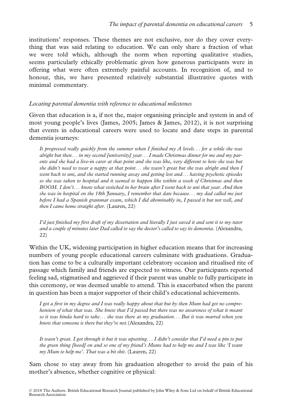institutions' responses. These themes are not exclusive, nor do they cover everything that was said relating to education. We can only share a fraction of what we were told which, although the norm when reporting qualitative studies, seems particularly ethically problematic given how generous participants were in offering what were often extremely painful accounts. In recognition of, and to honour, this, we have presented relatively substantial illustrative quotes with minimal commentary.

#### Locating parental dementia with reference to educational milestones

Given that education is a, if not the, major organising principle and system in and of most young people's lives (James, 2005; James & James, 2012), it is not surprising that events in educational careers were used to locate and date steps in parental dementia journeys:

It progressed really quickly from the summer when I finished my  $A$  levels... for a while she was alright but then... in my second [university] year... I made Christmas dinner for me and my parents and she had a live-in carer at that point and she was like, very different to how she was but she didn't need to wear a nappy at that point... she wasn't great but she was alright and then I went back to uni, and she started running away and getting lost and... having psychotic episodes so she was taken to hospital and it seemed to happen like within a week of Christmas and then BOOM. I don't... know what switched in her brain after I went back to uni that year. And then she was in hospital on the 18th January, I remember that date because... my dad called me just before I had a Spanish grammar exam, which I did abominably in, I passed it but not well, and then I came home straight after. (Lauren, 22)

I'd just finished my first draft of my dissertation and literally I just saved it and sent it to my tutor and a couple of minutes later Dad called to say the doctor's called to say its dementia. (Alexandra, 22)

Within the UK, widening participation in higher education means that for increasing numbers of young people educational careers culminate with graduations. Graduation has come to be a culturally important celebratory occasion and ritualised rite of passage which family and friends are expected to witness. Our participants reported feeling sad, stigmatised and aggrieved if their parent was unable to fully participate in this ceremony, or was deemed unable to attend. This is exacerbated when the parent in question has been a major supporter of their child's educational achievements.

I got a first in my degree and I was really happy about that but by then Mum had got no comprehension of what that was. She knew that I'd passed but there was no awareness of what it meant so it was kinda hard to take... she was there at my graduation... But it was marred when you know that someone is there but they're not.(Alexandra, 22)

It wasn't great. I got through it but it was upsetting... I didn't consider that I'd need a pin to put the green thing [hood] on and so one of my friend's Mums had to help me and I was like 'I want my Mum to help me'. That was a bit shit. (Lauren, 22)

Sam chose to stay away from his graduation altogether to avoid the pain of his mother's absence, whether cognitive or physical: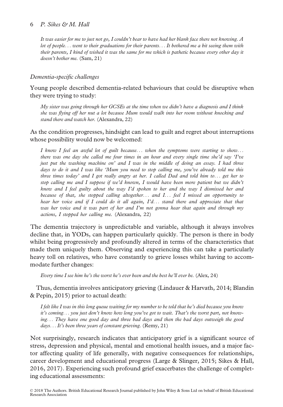It was easier for me to just not go, I couldn't bear to have had her blank face there not knowing. A lot of people... went to their graduations for their parents... It bothered me a bit seeing them with their parents, I kind of wished it was the same for me which is pathetic because every other day it doesn't bother me. (Sam, 21)

### Dementia-specific challenges

Young people described dementia-related behaviours that could be disruptive when they were trying to study:

My sister was going through her GCSEs at the time when we didn't have a diagnosis and I think she was flying off her nut a lot because Mum would walk into her room without knocking and stand there and watch her. (Alexandra, 22)

As the condition progresses, hindsight can lead to guilt and regret about interruptions whose possibility would now be welcomed:

I know I feel an awful lot of guilt because... when the symptoms were starting to show... there was one day she called me four times in an hour and every single time she'd say 'I've just put the washing machine on' and I was in the middle of doing an essay. I had three days to do it and I was like 'Mum you need to stop calling me, you've already told me this three times today' and I got really angry at her. I called Dad and told him to... get her to stop calling me and I suppose if we'd known, I would have been more patient but we didn't know and I feel guilty about the way I'd spoken to her and the way I dismissed her and because of that, she stopped calling altogether... and I... feel I missed an opportunity to hear her voice and if I could do it all again, I'd... stand there and appreciate that that was her voice and it was part of her and I'm not gonna hear that again and through my actions, I stopped her calling me. (Alexandra, 22)

The dementia trajectory is unpredictable and variable, although it always involves decline that, in YODs, can happen particularly quickly. The person is there in body whilst being progressively and profoundly altered in terms of the characteristics that made them uniquely them. Observing and experiencing this can take a particularly heavy toll on relatives, who have constantly to grieve losses whilst having to accommodate further changes:

Every time I see him he's the worst he's ever been and the best he'll ever be. (Alex, 24)

Thus, dementia involves anticipatory grieving (Lindauer & Harvath, 2014; Blandin & Pepin, 2015) prior to actual death:

I felt like I was in this long queue waiting for my number to be told that he's died because you know it's coming... you just don't know how long you've got to wait. That's the worst part, not knowing... They have one good day and three bad days and then the bad days outweigh the good days... It's been three years of constant grieving. (Remy, 21)

Not surprisingly, research indicates that anticipatory grief is a significant source of stress, depression and physical, mental and emotional health issues, and a major factor affecting quality of life generally, with negative consequences for relationships, career development and educational progress (Large & Slinger, 2015; Sikes & Hall, 2016, 2017). Experiencing such profound grief exacerbates the challenge of completing educational assessments: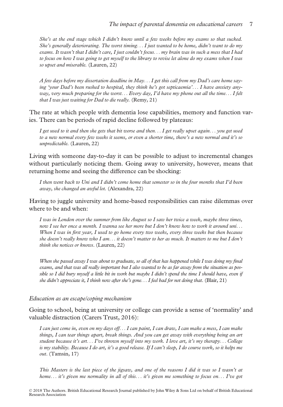She's at the end stage which I didn't know until a few weeks before my exams so that sucked. She's generally deteriorating. The worst timing... I just wanted to be home, didn't want to do my exams. It wasn't that I didn't care, I just couldn't focus... my brain was in such a mess that I had to focus on how I was going to get myself to the library to revise let alone do my exams when I was so upset and miserable. (Lauren, 22)

A few days before my dissertation deadline in May... I get this call from my Dad's care home saying 'your Dad's been rushed to hospital, they think he's got septicaemia'... I have anxiety anyway, very much preparing for the worst... Every day, I'd have my phone out all the time... I felt that I was just waiting for Dad to die really. (Remy, 21)

The rate at which people with dementia lose capabilities, memory and function varies. There can be periods of rapid decline followed by plateaus:

I get used to it and then she gets that bit worse and then... I get really upset again... you get used to a new normal every few weeks it seems, or even a shorter time, there's a new normal and it's so unpredictable. (Lauren, 22)

Living with someone day-to-day it can be possible to adjust to incremental changes without particularly noticing them. Going away to university, however, means that returning home and seeing the difference can be shocking:

I then went back to Uni and I didn't come home that semester so in the four months that I'd been away, she changed an awful lot. (Alexandra, 22)

Having to juggle university and home-based responsibilities can raise dilemmas over where to be and when:

I was in London over the summer from like August so I saw her twice a week, maybe three times, now I see her once a month. I wanna see her more but I don't know how to work it around uni... When I was in first year, I used to go home every two weeks, every three weeks but then because she doesn't really know who I am... it doesn't matter to her as much. It matters to me but I don't think she notices or knows. (Lauren, 22)

When she passed away I was about to graduate, so all of that has happened while I was doing my final exams, and that was all really important but I also wanted to be as far away from the situation as possible so I did bury myself a little bit in work but maybe I didn't spend the time I should have, even if she didn't appreciate it, I think now after she's gone... I feel bad for not doing that. (Blair, 21)

# Education as an escape/coping mechanism

Going to school, being at university or college can provide a sense of 'normality' and valuable distraction (Carers Trust, 2016):

I can just come in, even on my days off... I can paint, I can draw, I can make a mess, I can make things, I can tear things apart, break things. And you can get away with everything being an art student because it's art... I've thrown myself into my work. I love art, it's my therapy... College is my stability. Because I do art, it's a good release. If I can't sleep, I do course work, so it helps me out. (Tamsin, 17)

This Masters is the last piece of the jigsaw, and one of the reasons I did it was so I wasn't at home... it's given me normality in all of this... it's given me something to focus on... I've got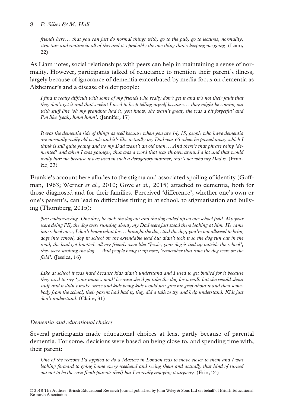friends here... that you can just do normal things with, go to the pub, go to lectures, normality, structure and routine in all of this and it's probably the one thing that's keeping me going. (Liam, 22)

As Liam notes, social relationships with peers can help in maintaining a sense of normality. However, participants talked of reluctance to mention their parent's illness, largely because of ignorance of dementia exacerbated by media focus on dementia as Alzheimer's and a disease of older people:

I find it really difficult with some of my friends who really don't get it and it's not their fault that they don't get it and that's what I need to keep telling myself because... they might be coming out with stuff like 'oh my grandma had it, you know, she wasn't great, she was a bit forgetful' and I'm like 'yeah, hmm hmm'. (Jennifer, 17)

It was the dementia side of things as well because when you are 14, 15, people who have dementia are normally really old people and it's like actually my Dad was 65 when he passed away which  $I$ think is still quite young and no my Dad wasn't an old man... And there's that phrase being 'demented' and when I was younger, that was a word that was thrown around a lot and that would really hurt me because it was used in such a derogatory manner, that's not who my Dad is. (Frankie, 23)

Frankie's account here alludes to the stigma and associated spoiling of identity (Goffman, 1963; Werner et al., 2010; Gove et al., 2015) attached to dementia, both for those diagnosed and for their families. Perceived 'difference', whether one's own or one's parent's, can lead to difficulties fitting in at school, to stigmatisation and bullying (Thornberg, 2015):

Just embarrassing. One day, he took the dog out and the dog ended up on our school field. My year were doing PE, the dog were running about, my Dad were just stood there looking at him. He came into school once, I don't know what for... brought the dog, tied the dog, you're not allowed to bring dogs into school, dog in school on the extendable lead but didn't lock it so the dog run out in the road, the lead got knotted, all my friends were like 'Jessie, your dog is tied up outside the school', they were stroking the dog... And people bring it up now, 'remember that time the dog were on the field'. (Jessica, 16)

Like at school it was hard because kids didn't understand and I used to get bullied for it because they used to say 'your mam's mad' because she'd go take the dog for a walk but she would shout stuff and it didn't make sense and kids being kids would just give me grief about it and then somebody from the school, their parent had had it, they did a talk to try and help understand. Kids just don't understand. (Claire, 31)

# Dementia and educational choices

Several participants made educational choices at least partly because of parental dementia. For some, decisions were based on being close to, and spending time with, their parent:

One of the reasons I'd applied to do a Masters in London was to move closer to them and I was looking forward to going home every weekend and seeing them and actually that kind of turned out not to be the case [both parents died] but  $\Gamma m$  really enjoying it anyway. (Erin, 24)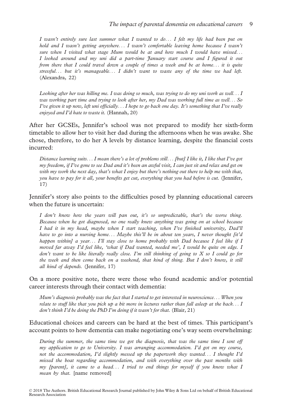I wasn't entirely sure last summer what I wanted to do... I felt my life had been put on hold and I wasn't getting anywhere... I wasn't comfortable leaving home because I wasn't sure when I visited what stage Mum would be at and how much I would have missed... I looked around and my uni did a part-time January start course and I figured it out from there that I could travel down a couple of times a week and be at home... it is quite stressful... but it's manageable... I didn't want to waste any of the time we had left. (Alexandra, 22)

Looking after her was killing me. I was doing so much, was trying to do my uni work as well... I was working part time and trying to look after her, my Dad was working full time as well... So I've given it up now, left uni officially... I hope to go back one day. It's something that I've really enjoyed and I'd hate to waste it. (Hannah, 20)

After her GCSEs, Jennifer's school was not prepared to modify her sixth-form timetable to allow her to visit her dad during the afternoons when he was awake. She chose, therefore, to do her A levels by distance learning, despite the financial costs incurred:

Distance learning suits... I mean there's a lot of problems still... [but] I like it, I like that I've got my freedom, if I've gone to see Dad and it's been an awful visit, I can just sit and relax and get on with my work the next day, that's what I enjoy but there's nothing out there to help me with that, you have to pay for it all, your benefits get cut, everything that you had before is cut. (Jennifer, 17)

Jennifer's story also points to the difficulties posed by planning educational careers when the future is uncertain:

I don't know how the years will pan out, it's so unpredictable, that's the worse thing. Because when he got diagnosed, no one really knew anything was going on at school because I had it in my head, maybe when I start teaching, when I've finished university, Dad'll have to go into a nursing home... Maybe this'll be in about ten years, I never thought [it'd happen within] a year... I'll stay close to home probably with Dad because I feel like if I moved far away I'd feel like, 'what if Dad wanted, needed me', I would be quite on edge. I don't want to be like literally really close. I'm still thinking of going to X so I could go for the week and then come back on a weekend, that kind of thing. But I don't know, it still all kind of depends. (Jennifer, 17)

On a more positive note, there were those who found academic and/or potential career interests through their contact with dementia:

Mum's diagnosis probably was the fact that I started to get interested in neuroscience... When you relate to stuff like that you pick up a bit more in lectures rather than fall asleep at the back... I don't think  $\Gamma d$  be doing the PhD  $\Gamma m$  doing if it wasn't for that. (Blair, 21)

Educational choices and careers can be hard at the best of times. This participant's account points to how dementia can make negotiating one's way seem overwhelming:

During the summer, the same time we got the diagnosis, that was the same time I sent off my application to go to University. I was arranging accommodation. I'd got on my course, not the accommodation, I'd slightly messed up the paperwork they wanted... I thought I'd missed the boat regarding accommodation, and with everything over the past months with my [parent], it came to a head... I tried to end things for myself if you know what I mean by that. [name removed]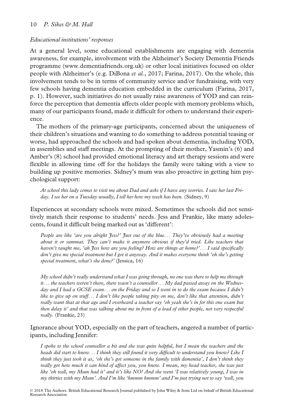#### Educational institutions' responses

At a general level, some educational establishments are engaging with dementia awareness, for example, involvement with the Alzheimer's Society Dementia Friends programme [\(www.dementiafriends.org.uk](http://www.dementiafriends.org.uk)) or other local initiatives focused on older people with Alzheimer's (e.g. DiBona et al., 2017; Farina, 2017). On the whole, this involvement tends to be in terms of community service and/or fundraising, with very few schools having dementia education embedded in the curriculum (Farina, 2017, p. 1). However, such initiatives do not usually raise awareness of YOD and can reinforce the perception that dementia affects older people with memory problems which, many of our participants found, made it difficult for others to understand their experience.

The mothers of the primary-age participants, concerned about the uniqueness of their children's situations and wanting to do something to address potential teasing or worse, had approached the schools and had spoken about dementia, including YOD, in assemblies and staff meetings. At the prompting of their mother, Yasmin's (6) and Amber's (8) school had provided emotional literacy and art therapy sessions and were flexible in allowing time off for the holidays the family were taking with a view to building up positive memories. Sidney's mum was also proactive in getting him psychological support:

At school this lady comes to visit me about Dad and asks if I have any worries. I saw her last Friday. I see her on a Tuesday usually, I tell her how my week has been. (Sidney, 9)

Experiences at secondary schools were mixed. Sometimes the schools did not sensitively match their response to students' needs. Jess and Frankie, like many adolescents, found it difficult being marked out as 'different':

People are like 'are you alright Jess?' Just out of the blue... They've obviously had a meeting about it or summat. They can't make it anymore obvious if they'd tried. Like teachers that haven't taught me, 'ah Jess how are you feeling? How are things at home?'... I said specifically don't give me special treatment but I got it anyway. And it makes everyone think 'oh she's getting special treatment, what's she done?' (Jessica, 16)

My school didn't really understand what I was going through, no one was there to help me through it... the teachers weren't there, there wasn't a counsellor... My dad passed away on the Wednesday and I had a GCSE exam... on the Friday and so I went in to do the exam because I didn't like to give up on stuff... I don't like people taking pity on me, don't like that attention, didn't really want that at that age and I overheard a teacher say 'oh yeah she's in for this one exam but then delay it' and that was talking about me in front of a load of other people, not very respectful really. (Frankie, 23)

Ignorance about YOD, especially on the part of teachers, angered a number of participants, including Jennifer:

I spoke to the school counsellor a bit and she was quite helpful, but I mean the teachers and the heads did start to know... I think they still found it very difficult to understand you know? Like I think they just took it as, 'oh she's got someone in the family with dementia', I don't think they really got how much it can kind of affect you, you know. I mean, my head teacher, she was just like 'oh well, my Mum had it' and it's like NO! And she went 'I was relatively young, I was in my thirties with my Mum'. And I'm like 'hmmm hmmm' and I'm just trying not to say 'well, you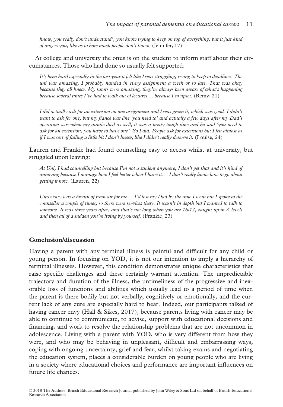know, you really don't understand', you know trying to keep on top of everything, but it just kind of angers you, like as to how much people don't know. (Jennifer, 17)

At college and university the onus is on the student to inform staff about their circumstances. Those who had done so usually felt supported:

It's been hard especially in the last year it felt like I was struggling, trying to keep to deadlines. The uni was amazing, I probably handed in every assignment a week or so late. That was okay because they all knew. My tutors were amazing, they've always been aware of what's happening because several times I've had to walk out of lectures... because I'm upset. (Remy, 21)

I did actually ask for an extension on one assignment and I was given it, which was good. I didn't want to ask for one, but my fiancé was like 'you need to' and actually a few days after my Dad's operation was when my auntie died as well, it was a pretty tough time and he said 'you need to ask for an extension, you have to have one'. So I did. People ask for extensions but I felt almost as if I was sort of failing a little bit I don't know, like I didn't really deserve it. (Louise, 24)

Lauren and Frankie had found counselling easy to access whilst at university, but struggled upon leaving:

At Uni, I had counselling but because I'm not a student anymore, I don't get that and it's kind of annoying because I manage how I feel better when I have it... I don't really know how to go about getting it now. (Lauren, 22)

University was a breath of fresh air for me... I'd lost my Dad by the time I went but I spoke to the counsellor a couple of times, so there were services there. It wasn't in depth but I wanted to talk to someone. It was three years after, and that's not long when you are 16/17, caught up in A levels and then all of a sudden you're living by yourself. (Frankie, 23)

# Conclusion/discussion

Having a parent with any terminal illness is painful and difficult for any child or young person. In focusing on YOD, it is not our intention to imply a hierarchy of terminal illnesses. However, this condition demonstrates unique characteristics that raise specific challenges and these certainly warrant attention. The unpredictable trajectory and duration of the illness, the untimeliness of the progressive and inexorable loss of functions and abilities which usually lead to a period of time when the parent is there bodily but not verbally, cognitively or emotionally, and the current lack of any cure are especially hard to bear. Indeed, our participants talked of having cancer envy (Hall & Sikes, 2017), because parents living with cancer may be able to continue to communicate, to advise, support with educational decisions and financing, and work to resolve the relationship problems that are not uncommon in adolescence. Living with a parent with YOD, who is very different from how they were, and who may be behaving in unpleasant, difficult and embarrassing ways, coping with ongoing uncertainty, grief and fear, whilst taking exams and negotiating the education system, places a considerable burden on young people who are living in a society where educational choices and performance are important influences on future life chances.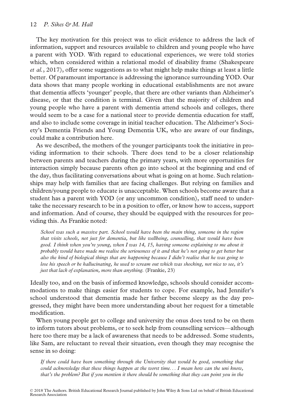The key motivation for this project was to elicit evidence to address the lack of information, support and resources available to children and young people who have a parent with YOD. With regard to educational experiences, we were told stories which, when considered within a relational model of disability frame (Shakespeare et al., 2017), offer some suggestions as to what might help make things at least a little better. Of paramount importance is addressing the ignorance surrounding YOD. Our data shows that many people working in educational establishments are not aware that dementia affects 'younger' people, that there are other variants than Alzheimer's disease, or that the condition is terminal. Given that the majority of children and young people who have a parent with dementia attend schools and colleges, there would seem to be a case for a national steer to provide dementia education for staff, and also to include some coverage in initial teacher education. The Alzheimer's Society's Dementia Friends and Young Dementia UK, who are aware of our findings, could make a contribution here.

As we described, the mothers of the younger participants took the initiative in providing information to their schools. There does tend to be a closer relationship between parents and teachers during the primary years, with more opportunities for interaction simply because parents often go into school at the beginning and end of the day, thus facilitating conversations about what is going on at home. Such relationships may help with families that are facing challenges. But relying on families and children/young people to educate is unacceptable. When schools become aware that a student has a parent with YOD (or any uncommon condition), staff need to undertake the necessary research to be in a position to offer, or know how to access, support and information. And of course, they should be equipped with the resources for providing this. As Frankie noted:

School was such a massive part. School would have been the main thing, someone in the region that visits schools, not just for dementia, but like wellbeing, counselling, that would have been good. I think when you're young, when I was 14, 15, having someone explaining to me about it probably would have made me realise the seriousness of it and that he's not going to get better but also the kind of biological things that are happening because I didn't realise that he was going to lose his speech or be hallucinating, he used to scream out which was shocking, not nice to see, it's just that lack of explanation, more than anything. (Frankie, 23)

Ideally too, and on the basis of informed knowledge, schools should consider accommodations to make things easier for students to cope. For example, had Jennifer's school understood that dementia made her father become sleepy as the day progressed, they might have been more understanding about her request for a timetable modification.

When young people get to college and university the onus does tend to be on them to inform tutors about problems, or to seek help from counselling services—although here too there may be a lack of awareness that needs to be addressed. Some students, like Sam, are reluctant to reveal their situation, even though they may recognise the sense in so doing:

If there could have been something through the University that would be good, something that could acknowledge that these things happen at the worst time... I mean how can the uni know, that's the problem? But if you mention it there should be something that they can point you in the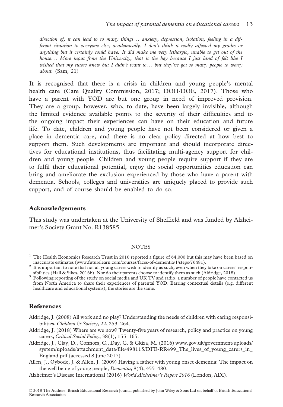direction of, it can lead to so many things... anxiety, depression, isolation, feeling in a different situation to everyone else, academically. I don't think it really affected my grades or anything but it certainly could have. It did make me very lethargic, unable to get out of the house... More input from the University, that is the key because I just kind of felt like I wished that my tutors knew but I didn't want to... but they've got so many people to worry about. (Sam, 21)

It is recognised that there is a crisis in children and young people's mental health care (Care Quality Commission, 2017; DOH/DOE, 2017). Those who have a parent with YOD are but one group in need of improved provision. They are a group, however, who, to date, have been largely invisible, although the limited evidence available points to the severity of their difficulties and to the ongoing impact their experiences can have on their education and future life. To date, children and young people have not been considered or given a place in dementia care, and there is no clear policy directed at how best to support them. Such developments are important and should incorporate directives for educational institutions, thus facilitating multi-agency support for children and young people. Children and young people require support if they are to fulfil their educational potential, enjoy the social opportunities education can bring and ameliorate the exclusion experienced by those who have a parent with dementia. Schools, colleges and universities are uniquely placed to provide such support, and of course should be enabled to do so.

# Acknowledgements

This study was undertaken at the University of Sheffield and was funded by Alzheimer's Society Grant No. R138585.

#### **NOTES**

# References

- Aldridge, J. (2008) All work and no play? Understanding the needs of children with caring responsibilities, Children & Society, 22, 253-264.
- Aldridge, J. (2018) Where are we now? Twenty-five years of research, policy and practice on young carers, Critical Social Policy, 38(1), 155–165.
- Aldridge, J., Clay, D., Connors, C., Day, G. & Gkiza, M. (2016) [www.gov.uk/government/uploads/](http://www.gov.uk/government/uploads/system/uploads/attachment_data/file/498115/DFE-RR499_The_lives_of_young_carers_in_England.pdf) system/uploads/attachment\_data/file/498115/DFE-RR499\_The\_lives\_of\_young\_carers\_in [England.pdf](http://www.gov.uk/government/uploads/system/uploads/attachment_data/file/498115/DFE-RR499_The_lives_of_young_carers_in_England.pdf) (accessed 8 June 2017).
- Allen, J., Oybode, J. & Allen, J. (2009) Having a father with young onset dementia: The impact on the well being of young people, Dementia, 8(4), 455–480.
- Alzheimer's Disease International (2016) World Alzheimer's Report 2016 (London, ADI).

<sup>&</sup>lt;sup>1</sup> The Health Economics Research Trust in 2010 reported a figure of 64,000 but this may have been based on inaccurate estimates (www.futurelearn.com/courses/faces-of-dementia/1/steps/76481).

This important to note that not all young carers wish to identify as such, even when they take on carers' respon-<br>sibilities (Hall & Sikes, 2016b). Nor do their parents choose to identify them as such (Aldridge, 2018).

 $3$  Following reporting of the study on social media and UK TV and radio, a number of people have contacted us from North America to share their experiences of parental YOD. Barring contextual details (e.g. different healthcare and educational systems), the stories are the same.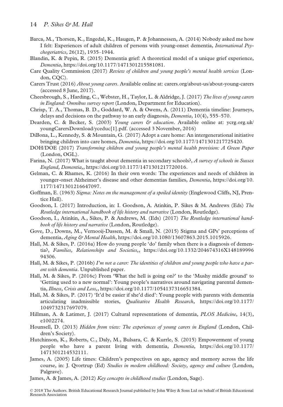- Barca, M., Thorsen, K., Engedal, K., Haugen, P. & Johannessen, A. (2014) Nobody asked me how I felt: Experiences of adult children of persons with young-onset dementia, International Psychogeriatrics, 26(12), 1935–1944.
- Blandin, K. & Pepin, R. (2015) Dementia grief: A theoretical model of a unique grief experience, Dementia, [https://doi.org/10.1177/1471301215581081.](https://doi.org/10.1177/1471301215581081)
- Care Quality Commission (2017) Review of children and young people's mental health services (London, CQC).
- Carers Trust (2016) About young carers. Available online at: carers.org/about-us/about-young-carers (accessed 8 June, 2017).
- Cheesbrough, S., Harding, C., Webster, H., Taylor, L. & Aldridge, J. (2017) The lives of young carers in England: Omnibus survey report (London, Department for Education).
- Chrisp, T. A., Thomas, B. D., Goddard, W. A. & Owens, A. (2011) Dementia timeline: Journeys, delays and decisions on the pathway to an early diagnosis, Dementia, 10(4), 555–570.
- Dearden, C. & Becker, S. (2003) Young carers & education. Available online at: [ycrg.org.uk/](ycrg.org.uk/youngCarersDownload/yceduc[1].pdf) [youngCarersDownload/yceduc\[1\].pdf](ycrg.org.uk/youngCarersDownload/yceduc[1].pdf). (accessed 3 November, 2016)
- DiBona, L., Kennedy, S. & Mountain, G. (2017) Adopt a care home: An intergenerational initiative bringing children into care homes, Dementia, [https://doi.org/10.1177/1471301217725420.](https://doi.org/10.1177/1471301217725420)
- DOH/DOE (2017) Transforming children and young people's mental health provision: A Green Paper (London, OGL).
- Farina, N. (2017) What is taught about dementia in secondary schools?, A survey of schools in Sussex England, Dementia,, [https://doi.org/10.1177/1471301217720016.](https://doi.org/10.1177/1471301217720016)
- Gelman, C. & Rhames, K. (2016) In their own words: The experiences and needs of children in younger-onset Alzheimer's disease and other dementias families, Dementia, [https://doi.org/10.](https://doi.org/10.1177/1471301216647097) [1177/1471301216647097.](https://doi.org/10.1177/1471301216647097)
- Goffman, E. (1963) Sigma: Notes on the management of a spoiled identity (Englewood Cliffs, NJ, Prentice Hall).
- Goodson, I. (2017) Introduction, in: I. Goodson, A. Atinkin, P. Sikes & M. Andrews (Eds) The Routledge international handbook of life history and narrative (London, Routledge).
- Goodson, I., Atinkin, A., Sikes, P. & Andrews, M. (Eds) (2017) The Routledge international handbook of life history and narrative (London, Routledge).
- Gove, D., Downs, M., Vernooij-Dassen, M. & Small, N. (2015) Stigma and GPs' perceptions of dementia, Aging & Mental Health, [https://doi.org/10.1080/13607863.2015.1015926.](https://doi.org/10.1080/13607863.2015.1015926)
- Hall, M. & Sikes, P. (2016a) How do young people 'do' family when there is a diagnosis of dementia?, Families, Relationships and Societies,, [https://doi.org/10.1332/204674316X148189996](https://doi.org/10.1332/204674316X14818999694306) [94306.](https://doi.org/10.1332/204674316X14818999694306)
- Hall, M. & Sikes, P. (2016b) I'm not a carer: The identities of children and young people who have a parent with dementia. Unpublished paper.
- Hall, M. & Sikes, P. (2016c) From 'What the hell is going on?' to the 'Mushy middle ground' to 'Getting used to a new normal': Young people's narratives around navigating parental dementia, Illness, Crisis and Loss,,<https://doi.org/10.1177/1054137316651384>.
- Hall, M. & Sikes, P. (2017) 'It'd be easier if she'd died': Young people with parents with dementia articulating inadmissible stories, Qualitative Health Research, [https://doi.org/10.1177/](https://doi.org/10.1177/1049732317697079) [1049732317697079](https://doi.org/10.1177/1049732317697079).
- Hillman, A. & Latimer, J. (2017) Cultural representations of dementia, *PLOS Medicine*, 14(3), e1002274.
- Hounsell, D. (2013) Hidden from view: The experiences of young carers in England (London, Children's Society).
- Hutchinson, K., Roberts, C., Daly, M., Bulsara, C. & Kurrle, S. (2015) Empowerment of young people who have a parent living with dementia, Dementia, [https://doi.org/10.1177/](https://doi.org/10.1177/1471301214532111) [1471301214532111](https://doi.org/10.1177/1471301214532111).
- James, A. (2005) Life times: Children's perspectives on age, agency and memory across the life course, in: J. Qvortrup (Ed) Studies in modern childhood: Society, agency and culture (London, Palgrave).
- James, A. & James, A. (2012) Key concepts in childhood studies (London, Sage).